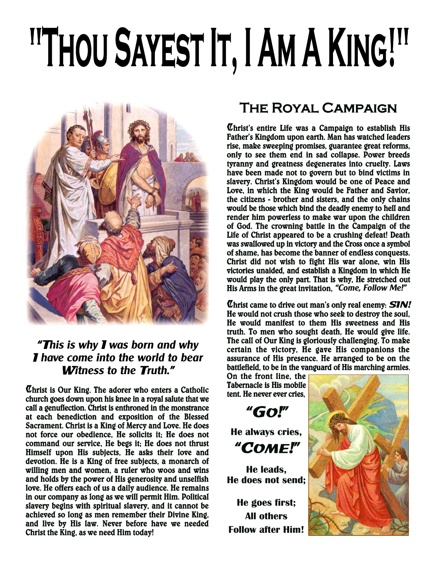# <sup>IIT</sup>HOU SAYEST IT, I AM A KING!"



## "T**his is why** I **was born and why** I **have come into the world to bear**  W**itness to the** T**ruth.**"

Christ is Our King. The adorer who enters a Catholic church goes down upon his knee in a royal salute that we call a genuflection. Christ is enthroned in the monstrance at each benediction and exposition of the Blessed Sacrament. Christ is a King of Mercy and Love. He does not force our obedience, He solicits it; He does not command our service, He begs it; He does not thrust Himself upon His subjects, He asks their love and devotion. He is a King of free subjects, a monarch of willing men and women, a ruler who woos and wins and holds by the power of His generosity and unselfish love. He offers each of us a daily audience. He remains in our company as long as we will permit Him. Political slavery begins with spiritual slavery, and it cannot be achieved so long as men remember their Divine King, and live by His law. Never before have we needed Christ the King, as we need Him today!

# The Royal Campaign

Christ's entire Life was a Campaign to establish His Father's Kingdom upon earth. Man has watched leaders rise, make sweeping promises, guarantee great reforms, only to see them end in sad collapse. Power breeds tyranny and greatness degenerates into cruelty. Laws have been made not to govern but to bind victims in slavery. Christ's Kingdom would be one of Peace and Love, in which the King would be Father and Savior, the citizens - brother and sisters, and the only chains would be those which bind the deadly enemy to hell and render him powerless to make war upon the children of God. The crowning battle in the Campaign of the Life of Christ appeared to be a crushing defeat! Death was swallowed up in victory and the Cross once a symbol of shame, has become the banner of endless conquests. Christ did not wish to fight His war alone, win His victories unaided, and establish a Kingdom in which He would play the only part. That is why, He stretched out His Arms in the great invitation, **"Come, Follow Me!"**

Christ came to drive out man's only real enemy: **SIN!** He would not crush those who seek to destroy the soul, He would manifest to them His sweetness and His truth. To men who sought death, He would give life. The call of Our King is gloriously challenging. To make certain the victory, He gave His companions the assurance of His presence. He arranged to be on the battlefield, to be in the vanguard of His marching armies.

On the front line, the Tabernacle is His mobile tent. He never ever cries,

**He always cries,** "COME!"

"GO!"

**He leads, He does not send;**

**He goes first; All others Follow after Him!**

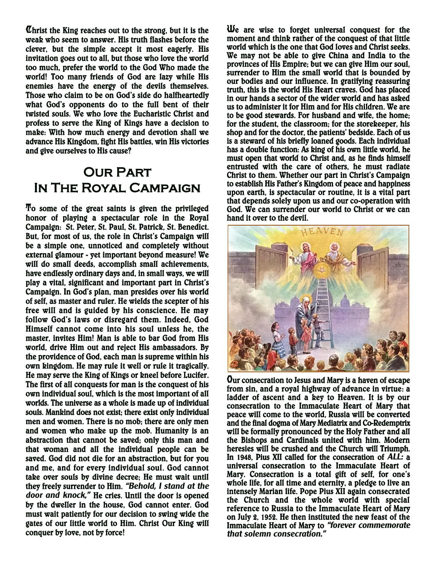Christ the King reaches out to the strong, but it is the weak who seem to answer. His truth flashes before the clever, but the simple accept it most eagerly. His invitation goes out to all, but those who love the world too much, prefer the world to the God Who made the world! Too many friends of God are lazy while His enemies have the energy of the devils themselves. Those who claim to be on God's side do halfheartedly what God's opponents do to the full bent of their twisted souls. We who love the Eucharistic Christ and profess to serve the King of Kings have a decision to make: With how much energy and devotion shall we advance His Kingdom, fight His battles, win His victories and give ourselves to His cause?

# **OUR PART** In The Royal Campaign

To some of the great saints is given the privileged honor of playing a spectacular role in the Royal Campaign: St. Peter, St. Paul, St. Patrick, St. Benedict. But, for most of us, the role in Christ's Campaign will be a simple one, unnoticed and completely without external glamour - yet important beyond measure! We will do small deeds, accomplish small achievements, have endlessly ordinary days and, in small ways, we will play a vital, significant and important part in Christ's Campaign. In God's plan, man presides over his world of self, as master and ruler. He wields the scepter of his free will and is guided by his conscience. He may follow God's laws or disregard them. Indeed, God Himself cannot come into his soul unless he, the master, invites Him! Man is able to bar God from His world, drive Him out and reject His ambassadors. By the providence of God, each man is supreme within his own kingdom. He may rule it well or rule it tragically. He may serve the King of Kings or kneel before Lucifer. The first of all conquests for man is the conquest of his own individual soul, which is the most important of all worlds. The universe as a whole is made up of individual souls. Mankind does not exist; there exist only individual men and women. There is no mob; there are only men and women who make up the mob. Humanity is an abstraction that cannot be saved; only this man and that woman and all the individual people can be saved. God did not die for an abstraction, but for you and me, and for every individual soul. God cannot take over souls by divine decree; He must wait until they freely surrender to Him. **"Behold, I stand at the door and knock,"** He cries. Until the door is opened by the dweller in the house, God cannot enter. God must wait patiently for our decision to swing wide the gates of our little world to Him. Christ Our King will conquer by love, not by force!

We are wise to forget universal conquest for the moment and think rather of the conquest of that little world which is the one that God loves and Christ seeks. We may not be able to give China and India to the provinces of His Empire; but we can give Him our soul, surrender to Him the small world that is bounded by our bodies and our influence. In gratifying reassuring truth, this is the world His Heart craves. God has placed in our hands a sector of the wider world and has asked us to administer it for Him and for His children. We are to be good stewards. For husband and wife, the home; for the student, the classroom; for the storekeeper, his shop and for the doctor, the patients' bedside. Each of us is a steward of his briefly loaned goods. Each individual has a double function: As king of his own little world, he must open that world to Christ and, as he finds himself entrusted with the care of others, he must radiate Christ to them. Whether our part in Christ's Campaign to establish His Father's Kingdom of peace and happiness upon earth, is spectacular or routine, it is a vital part that depends solely upon us and our co-operation with God. We can surrender our world to Christ or we can hand it over to the devil.



Our consecration to Jesus and Mary is a haven of escape from sin, and a royal highway of advance in virtue: a ladder of ascent and a key to Heaven. It is by our consecration to the Immaculate Heart of Mary that peace will come to the world, Russia will be converted and the final dogma of Mary Mediatrix and Co-Redemptrix will be formally pronounced by the Holy Father and all the Bishops and Cardinals united with him. Modern heresies will be crushed and the Church will Triumph. In 1948, Pius XII called for the consecration of **ALL:** a universal consecration to the Immaculate Heart of Mary. Consecration is a total gift of self, for one's whole life, for all time and eternity, a pledge to live an intensely Marian life. Pope Pius XII again consecrated the Church and the whole world with special reference to Russia to the Immaculate Heart of Mary on July 2, 1952. He then instituted the new feast of the Immaculate Heart of Mary to **"forever commemorate that solemn consecration."**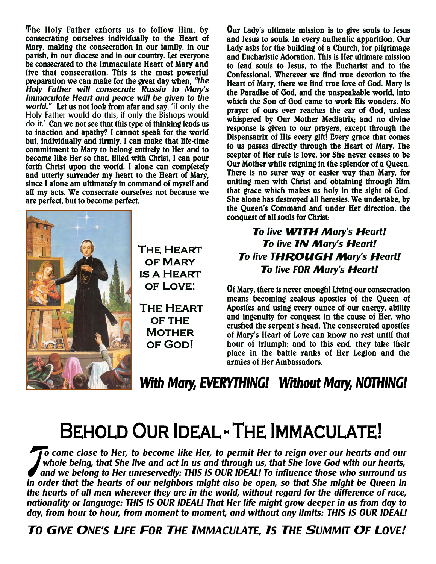The Holy Father exhorts us to follow Him, by consecrating ourselves individually to the Heart of Mary, making the consecration in our family, in our parish, in our diocese and in our country. Let everyone be consecrated to the Immaculate Heart of Mary and live that consecration. This is the most powerful preparation we can make for the great day when, **"the Holy Father will consecrate Russia to Mary's Immaculate Heart and peace will be given to the world."** Let us not look from afar and say, 'if only the Holy Father would do this, if only the Bishops would do it.' Can we not see that this type of thinking leads us to inaction and apathy? I cannot speak for the world but, individually and firmly, I can make that life-time commitment to Mary to belong entirely to Her and to become like Her so that, filled with Christ, I can pour forth Christ upon the world. I alone can completely and utterly surrender my heart to the Heart of Mary, since I alone am ultimately in command of myself and all my acts. We consecrate ourselves not because we are perfect, but to become perfect.



The Heart of Mary is a Heart of Love:

 The Heart OF THE **MOTHER** of God!

Our Lady's ultimate mission is to give souls to Jesus and Jesus to souls. In every authentic apparition, Our Lady asks for the building of a Church, for pilgrimage and Eucharistic Adoration. This is Her ultimate mission to lead souls to Jesus, to the Eucharist and to the Confessional. Wherever we find true devotion to the Heart of Mary, there we find true love of God. Mary is the Paradise of God, and the unspeakable world, into which the Son of God came to work His wonders. No prayer of ours ever reaches the ear of God, unless whispered by Our Mother Mediatrix; and no divine response is given to our prayers, except through the Dispensatrix of His every gift! Every grace that comes to us passes directly through the Heart of Mary. The scepter of Her rule is love, for She never ceases to be Our Mother while reigning in the splendor of a Queen. There is no surer way or easier way than Mary, for uniting men with Christ and obtaining through Him that grace which makes us holy in the sight of God. She alone has destroyed all heresies. We undertake, by the Queen's Command and under Her direction, the conquest of all souls for Christ:

## T**o live** WITH M**ary's** H**eart**! T**o live** IN M**ary's** H**eart**! T**o live T**HROUGH M**ary's** H**eart**! T**o live FOR** M**ary's** H**eart**!

Of Mary, there is never enough! Living our consecration means becoming zealous apostles of the Queen of Apostles and using every ounce of our energy, ability and ingenuity for conquest in the cause of Her, who crushed the serpent's head. The consecrated apostles of Mary's Heart of Love can know no rest until that hour of triumph; and to this end, they take their place in the battle ranks of Her Legion and the armies of Her Ambassadors.

ł ٦

#### $\overline{a}$  $\overline{\phantom{a}}$ ٦

J **o come close to Her, to become like Her, to permit Her to reign over our hearts and our** whole being, that She live and act in us and through us, that She love God with our hearts,  **and we belong to Her unreservedly: THIS IS OUR IDEAL! To influence those who surround us in order that the hearts of our neighbors might also be open, so that She might be Queen in the hearts of all men wherever they are in the world, without regard for the difference of race, nationality or language: THIS IS OUR IDEAL! That Her life might grow deeper in us from day to**  ľ **day, from hour to hour, from moment to moment, and without any limits: THIS IS OUR IDEAL!**

#### TO CALLER LIFE FOR THE IMMACHIATE IS THE CH T**O** G**IVE** O**NE'S** L**IFE** F**OR** T**HE** I**MMACULATE,** I**S** T**HE** S**UMMIT** O**F** L**OVE**!